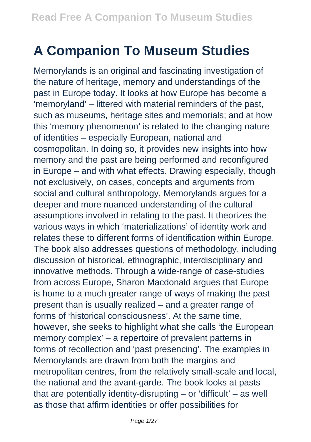## **A Companion To Museum Studies**

Memorylands is an original and fascinating investigation of the nature of heritage, memory and understandings of the past in Europe today. It looks at how Europe has become a 'memoryland' – littered with material reminders of the past, such as museums, heritage sites and memorials; and at how this 'memory phenomenon' is related to the changing nature of identities – especially European, national and cosmopolitan. In doing so, it provides new insights into how memory and the past are being performed and reconfigured in Europe – and with what effects. Drawing especially, though not exclusively, on cases, concepts and arguments from social and cultural anthropology, Memorylands argues for a deeper and more nuanced understanding of the cultural assumptions involved in relating to the past. It theorizes the various ways in which 'materializations' of identity work and relates these to different forms of identification within Europe. The book also addresses questions of methodology, including discussion of historical, ethnographic, interdisciplinary and innovative methods. Through a wide-range of case-studies from across Europe, Sharon Macdonald argues that Europe is home to a much greater range of ways of making the past present than is usually realized – and a greater range of forms of 'historical consciousness'. At the same time, however, she seeks to highlight what she calls 'the European memory complex' – a repertoire of prevalent patterns in forms of recollection and 'past presencing'. The examples in Memorylands are drawn from both the margins and metropolitan centres, from the relatively small-scale and local, the national and the avant-garde. The book looks at pasts that are potentially identity-disrupting  $-$  or 'difficult'  $-$  as well as those that affirm identities or offer possibilities for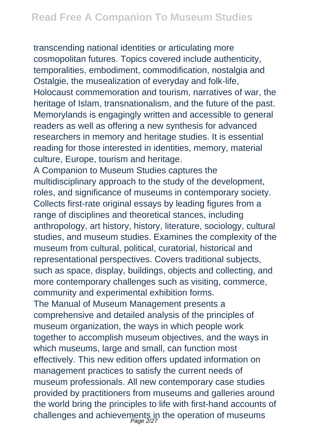transcending national identities or articulating more cosmopolitan futures. Topics covered include authenticity, temporalities, embodiment, commodification, nostalgia and Ostalgie, the musealization of everyday and folk-life, Holocaust commemoration and tourism, narratives of war, the heritage of Islam, transnationalism, and the future of the past. Memorylands is engagingly written and accessible to general readers as well as offering a new synthesis for advanced researchers in memory and heritage studies. It is essential reading for those interested in identities, memory, material culture, Europe, tourism and heritage.

A Companion to Museum Studies captures the multidisciplinary approach to the study of the development, roles, and significance of museums in contemporary society. Collects first-rate original essays by leading figures from a range of disciplines and theoretical stances, including anthropology, art history, history, literature, sociology, cultural studies, and museum studies. Examines the complexity of the museum from cultural, political, curatorial, historical and representational perspectives. Covers traditional subjects, such as space, display, buildings, objects and collecting, and more contemporary challenges such as visiting, commerce, community and experimental exhibition forms. The Manual of Museum Management presents a comprehensive and detailed analysis of the principles of museum organization, the ways in which people work together to accomplish museum objectives, and the ways in which museums, large and small, can function most effectively. This new edition offers updated information on management practices to satisfy the current needs of museum professionals. All new contemporary case studies provided by practitioners from museums and galleries around the world bring the principles to life with first-hand accounts of challenges and achievements in the operation of museums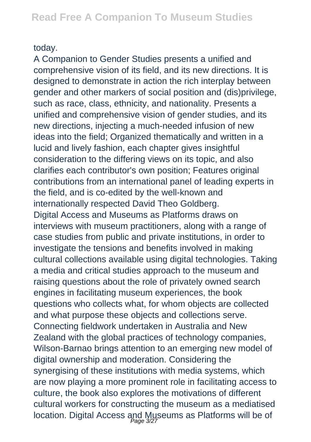## today.

A Companion to Gender Studies presents a unified and comprehensive vision of its field, and its new directions. It is designed to demonstrate in action the rich interplay between gender and other markers of social position and (dis)privilege, such as race, class, ethnicity, and nationality. Presents a unified and comprehensive vision of gender studies, and its new directions, injecting a much-needed infusion of new ideas into the field; Organized thematically and written in a lucid and lively fashion, each chapter gives insightful consideration to the differing views on its topic, and also clarifies each contributor's own position; Features original contributions from an international panel of leading experts in the field, and is co-edited by the well-known and internationally respected David Theo Goldberg. Digital Access and Museums as Platforms draws on interviews with museum practitioners, along with a range of case studies from public and private institutions, in order to investigate the tensions and benefits involved in making cultural collections available using digital technologies. Taking a media and critical studies approach to the museum and raising questions about the role of privately owned search engines in facilitating museum experiences, the book questions who collects what, for whom objects are collected and what purpose these objects and collections serve. Connecting fieldwork undertaken in Australia and New Zealand with the global practices of technology companies, Wilson-Barnao brings attention to an emerging new model of digital ownership and moderation. Considering the synergising of these institutions with media systems, which are now playing a more prominent role in facilitating access to culture, the book also explores the motivations of different cultural workers for constructing the museum as a mediatised location. Digital Access and Museums as Platforms will be of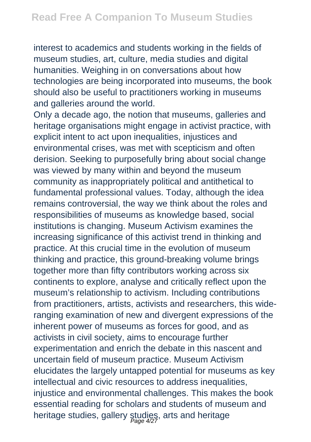interest to academics and students working in the fields of museum studies, art, culture, media studies and digital humanities. Weighing in on conversations about how technologies are being incorporated into museums, the book should also be useful to practitioners working in museums and galleries around the world.

Only a decade ago, the notion that museums, galleries and heritage organisations might engage in activist practice, with explicit intent to act upon inequalities, injustices and environmental crises, was met with scepticism and often derision. Seeking to purposefully bring about social change was viewed by many within and beyond the museum community as inappropriately political and antithetical to fundamental professional values. Today, although the idea remains controversial, the way we think about the roles and responsibilities of museums as knowledge based, social institutions is changing. Museum Activism examines the increasing significance of this activist trend in thinking and practice. At this crucial time in the evolution of museum thinking and practice, this ground-breaking volume brings together more than fifty contributors working across six continents to explore, analyse and critically reflect upon the museum's relationship to activism. Including contributions from practitioners, artists, activists and researchers, this wideranging examination of new and divergent expressions of the inherent power of museums as forces for good, and as activists in civil society, aims to encourage further experimentation and enrich the debate in this nascent and uncertain field of museum practice. Museum Activism elucidates the largely untapped potential for museums as key intellectual and civic resources to address inequalities, injustice and environmental challenges. This makes the book essential reading for scholars and students of museum and heritage studies, gallery studies, arts and heritage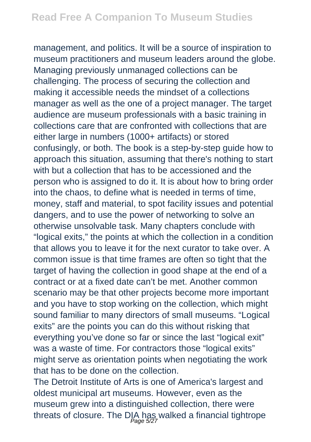management, and politics. It will be a source of inspiration to museum practitioners and museum leaders around the globe. Managing previously unmanaged collections can be challenging. The process of securing the collection and making it accessible needs the mindset of a collections manager as well as the one of a project manager. The target audience are museum professionals with a basic training in collections care that are confronted with collections that are either large in numbers (1000+ artifacts) or stored confusingly, or both. The book is a step-by-step guide how to approach this situation, assuming that there's nothing to start with but a collection that has to be accessioned and the person who is assigned to do it. It is about how to bring order into the chaos, to define what is needed in terms of time, money, staff and material, to spot facility issues and potential dangers, and to use the power of networking to solve an otherwise unsolvable task. Many chapters conclude with "logical exits," the points at which the collection in a condition that allows you to leave it for the next curator to take over. A common issue is that time frames are often so tight that the target of having the collection in good shape at the end of a contract or at a fixed date can't be met. Another common scenario may be that other projects become more important and you have to stop working on the collection, which might sound familiar to many directors of small museums. "Logical exits" are the points you can do this without risking that everything you've done so far or since the last "logical exit" was a waste of time. For contractors those "logical exits" might serve as orientation points when negotiating the work that has to be done on the collection.

The Detroit Institute of Arts is one of America's largest and oldest municipal art museums. However, even as the museum grew into a distinguished collection, there were threats of closure. The DIA has walked a financial tightrope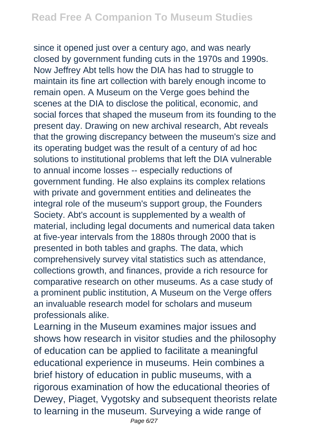since it opened just over a century ago, and was nearly closed by government funding cuts in the 1970s and 1990s. Now Jeffrey Abt tells how the DIA has had to struggle to maintain its fine art collection with barely enough income to remain open. A Museum on the Verge goes behind the scenes at the DIA to disclose the political, economic, and social forces that shaped the museum from its founding to the present day. Drawing on new archival research, Abt reveals that the growing discrepancy between the museum's size and its operating budget was the result of a century of ad hoc solutions to institutional problems that left the DIA vulnerable to annual income losses -- especially reductions of government funding. He also explains its complex relations with private and government entities and delineates the integral role of the museum's support group, the Founders Society. Abt's account is supplemented by a wealth of material, including legal documents and numerical data taken at five-year intervals from the 1880s through 2000 that is presented in both tables and graphs. The data, which comprehensively survey vital statistics such as attendance, collections growth, and finances, provide a rich resource for comparative research on other museums. As a case study of a prominent public institution, A Museum on the Verge offers an invaluable research model for scholars and museum professionals alike.

Learning in the Museum examines major issues and shows how research in visitor studies and the philosophy of education can be applied to facilitate a meaningful educational experience in museums. Hein combines a brief history of education in public museums, with a rigorous examination of how the educational theories of Dewey, Piaget, Vygotsky and subsequent theorists relate to learning in the museum. Surveying a wide range of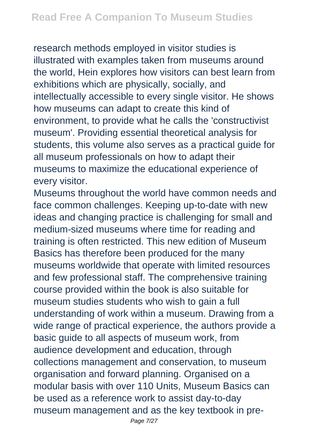research methods employed in visitor studies is illustrated with examples taken from museums around the world, Hein explores how visitors can best learn from exhibitions which are physically, socially, and intellectually accessible to every single visitor. He shows how museums can adapt to create this kind of environment, to provide what he calls the 'constructivist museum'. Providing essential theoretical analysis for students, this volume also serves as a practical guide for all museum professionals on how to adapt their museums to maximize the educational experience of every visitor.

Museums throughout the world have common needs and face common challenges. Keeping up-to-date with new ideas and changing practice is challenging for small and medium-sized museums where time for reading and training is often restricted. This new edition of Museum Basics has therefore been produced for the many museums worldwide that operate with limited resources and few professional staff. The comprehensive training course provided within the book is also suitable for museum studies students who wish to gain a full understanding of work within a museum. Drawing from a wide range of practical experience, the authors provide a basic guide to all aspects of museum work, from audience development and education, through collections management and conservation, to museum organisation and forward planning. Organised on a modular basis with over 110 Units, Museum Basics can be used as a reference work to assist day-to-day museum management and as the key textbook in pre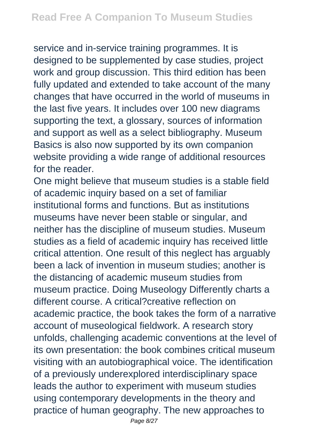service and in-service training programmes. It is designed to be supplemented by case studies, project work and group discussion. This third edition has been fully updated and extended to take account of the many changes that have occurred in the world of museums in the last five years. It includes over 100 new diagrams supporting the text, a glossary, sources of information and support as well as a select bibliography. Museum Basics is also now supported by its own companion website providing a wide range of additional resources for the reader.

One might believe that museum studies is a stable field of academic inquiry based on a set of familiar institutional forms and functions. But as institutions museums have never been stable or singular, and neither has the discipline of museum studies. Museum studies as a field of academic inquiry has received little critical attention. One result of this neglect has arguably been a lack of invention in museum studies; another is the distancing of academic museum studies from museum practice. Doing Museology Differently charts a different course. A critical?creative reflection on academic practice, the book takes the form of a narrative account of museological fieldwork. A research story unfolds, challenging academic conventions at the level of its own presentation: the book combines critical museum visiting with an autobiographical voice. The identification of a previously underexplored interdisciplinary space leads the author to experiment with museum studies using contemporary developments in the theory and practice of human geography. The new approaches to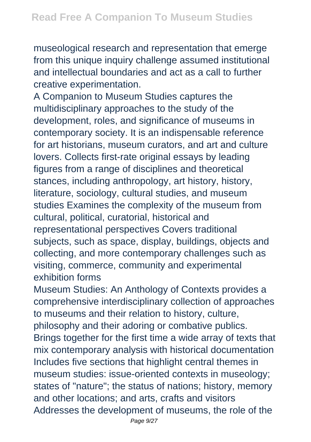museological research and representation that emerge from this unique inquiry challenge assumed institutional and intellectual boundaries and act as a call to further creative experimentation.

A Companion to Museum Studies captures the multidisciplinary approaches to the study of the development, roles, and significance of museums in contemporary society. It is an indispensable reference for art historians, museum curators, and art and culture lovers. Collects first-rate original essays by leading figures from a range of disciplines and theoretical stances, including anthropology, art history, history, literature, sociology, cultural studies, and museum studies Examines the complexity of the museum from cultural, political, curatorial, historical and representational perspectives Covers traditional subjects, such as space, display, buildings, objects and collecting, and more contemporary challenges such as visiting, commerce, community and experimental exhibition forms

Museum Studies: An Anthology of Contexts provides a comprehensive interdisciplinary collection of approaches to museums and their relation to history, culture, philosophy and their adoring or combative publics. Brings together for the first time a wide array of texts that mix contemporary analysis with historical documentation Includes five sections that highlight central themes in museum studies: issue-oriented contexts in museology; states of "nature"; the status of nations; history, memory and other locations; and arts, crafts and visitors Addresses the development of museums, the role of the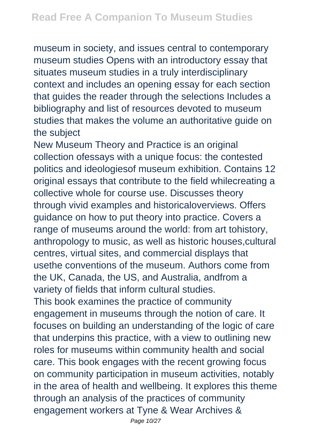museum in society, and issues central to contemporary museum studies Opens with an introductory essay that situates museum studies in a truly interdisciplinary context and includes an opening essay for each section that guides the reader through the selections Includes a bibliography and list of resources devoted to museum studies that makes the volume an authoritative guide on the subject

New Museum Theory and Practice is an original collection ofessays with a unique focus: the contested politics and ideologiesof museum exhibition. Contains 12 original essays that contribute to the field whilecreating a collective whole for course use. Discusses theory through vivid examples and historicaloverviews. Offers guidance on how to put theory into practice. Covers a range of museums around the world: from art tohistory, anthropology to music, as well as historic houses,cultural centres, virtual sites, and commercial displays that usethe conventions of the museum. Authors come from the UK, Canada, the US, and Australia, andfrom a variety of fields that inform cultural studies. This book examines the practice of community engagement in museums through the notion of care. It focuses on building an understanding of the logic of care that underpins this practice, with a view to outlining new roles for museums within community health and social care. This book engages with the recent growing focus on community participation in museum activities, notably in the area of health and wellbeing. It explores this theme through an analysis of the practices of community engagement workers at Tyne & Wear Archives &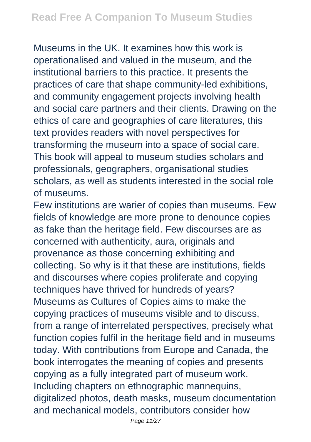Museums in the UK. It examines how this work is operationalised and valued in the museum, and the institutional barriers to this practice. It presents the practices of care that shape community-led exhibitions, and community engagement projects involving health and social care partners and their clients. Drawing on the ethics of care and geographies of care literatures, this text provides readers with novel perspectives for transforming the museum into a space of social care. This book will appeal to museum studies scholars and professionals, geographers, organisational studies scholars, as well as students interested in the social role of museums.

Few institutions are warier of copies than museums. Few fields of knowledge are more prone to denounce copies as fake than the heritage field. Few discourses are as concerned with authenticity, aura, originals and provenance as those concerning exhibiting and collecting. So why is it that these are institutions, fields and discourses where copies proliferate and copying techniques have thrived for hundreds of years? Museums as Cultures of Copies aims to make the copying practices of museums visible and to discuss, from a range of interrelated perspectives, precisely what function copies fulfil in the heritage field and in museums today. With contributions from Europe and Canada, the book interrogates the meaning of copies and presents copying as a fully integrated part of museum work. Including chapters on ethnographic mannequins, digitalized photos, death masks, museum documentation and mechanical models, contributors consider how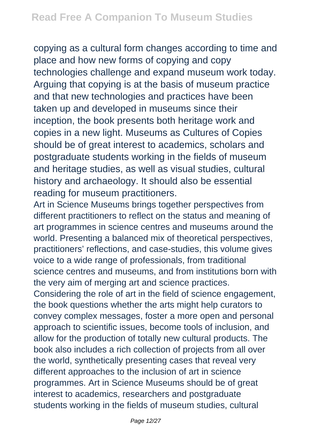copying as a cultural form changes according to time and place and how new forms of copying and copy technologies challenge and expand museum work today. Arguing that copying is at the basis of museum practice and that new technologies and practices have been taken up and developed in museums since their inception, the book presents both heritage work and copies in a new light. Museums as Cultures of Copies should be of great interest to academics, scholars and postgraduate students working in the fields of museum and heritage studies, as well as visual studies, cultural history and archaeology. It should also be essential reading for museum practitioners.

Art in Science Museums brings together perspectives from different practitioners to reflect on the status and meaning of art programmes in science centres and museums around the world. Presenting a balanced mix of theoretical perspectives, practitioners' reflections, and case-studies, this volume gives voice to a wide range of professionals, from traditional science centres and museums, and from institutions born with the very aim of merging art and science practices.

Considering the role of art in the field of science engagement, the book questions whether the arts might help curators to convey complex messages, foster a more open and personal approach to scientific issues, become tools of inclusion, and allow for the production of totally new cultural products. The book also includes a rich collection of projects from all over the world, synthetically presenting cases that reveal very different approaches to the inclusion of art in science programmes. Art in Science Museums should be of great interest to academics, researchers and postgraduate students working in the fields of museum studies, cultural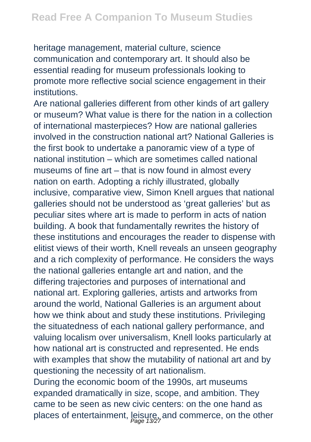heritage management, material culture, science communication and contemporary art. It should also be essential reading for museum professionals looking to promote more reflective social science engagement in their **institutions** 

Are national galleries different from other kinds of art gallery or museum? What value is there for the nation in a collection of international masterpieces? How are national galleries involved in the construction national art? National Galleries is the first book to undertake a panoramic view of a type of national institution – which are sometimes called national museums of fine art – that is now found in almost every nation on earth. Adopting a richly illustrated, globally inclusive, comparative view, Simon Knell argues that national galleries should not be understood as 'great galleries' but as peculiar sites where art is made to perform in acts of nation building. A book that fundamentally rewrites the history of these institutions and encourages the reader to dispense with elitist views of their worth, Knell reveals an unseen geography and a rich complexity of performance. He considers the ways the national galleries entangle art and nation, and the differing trajectories and purposes of international and national art. Exploring galleries, artists and artworks from around the world, National Galleries is an argument about how we think about and study these institutions. Privileging the situatedness of each national gallery performance, and valuing localism over universalism, Knell looks particularly at how national art is constructed and represented. He ends with examples that show the mutability of national art and by questioning the necessity of art nationalism.

During the economic boom of the 1990s, art museums expanded dramatically in size, scope, and ambition. They came to be seen as new civic centers: on the one hand as places of entertainment, leisure, and commerce, on the other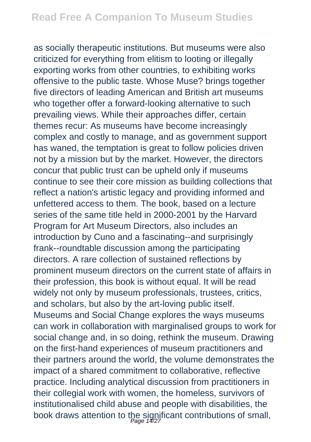as socially therapeutic institutions. But museums were also criticized for everything from elitism to looting or illegally exporting works from other countries, to exhibiting works offensive to the public taste. Whose Muse? brings together five directors of leading American and British art museums who together offer a forward-looking alternative to such prevailing views. While their approaches differ, certain themes recur: As museums have become increasingly complex and costly to manage, and as government support has waned, the temptation is great to follow policies driven not by a mission but by the market. However, the directors concur that public trust can be upheld only if museums continue to see their core mission as building collections that reflect a nation's artistic legacy and providing informed and unfettered access to them. The book, based on a lecture series of the same title held in 2000-2001 by the Harvard Program for Art Museum Directors, also includes an introduction by Cuno and a fascinating--and surprisingly frank--roundtable discussion among the participating directors. A rare collection of sustained reflections by prominent museum directors on the current state of affairs in their profession, this book is without equal. It will be read widely not only by museum professionals, trustees, critics, and scholars, but also by the art-loving public itself. Museums and Social Change explores the ways museums can work in collaboration with marginalised groups to work for social change and, in so doing, rethink the museum. Drawing on the first-hand experiences of museum practitioners and their partners around the world, the volume demonstrates the impact of a shared commitment to collaborative, reflective practice. Including analytical discussion from practitioners in their collegial work with women, the homeless, survivors of institutionalised child abuse and people with disabilities, the book draws attention to the significant contributions of small,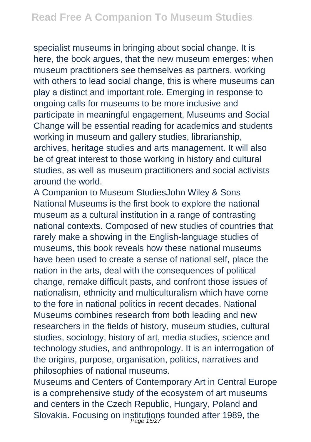specialist museums in bringing about social change. It is here, the book argues, that the new museum emerges: when museum practitioners see themselves as partners, working with others to lead social change, this is where museums can play a distinct and important role. Emerging in response to ongoing calls for museums to be more inclusive and participate in meaningful engagement, Museums and Social Change will be essential reading for academics and students working in museum and gallery studies, librarianship, archives, heritage studies and arts management. It will also be of great interest to those working in history and cultural studies, as well as museum practitioners and social activists around the world.

A Companion to Museum StudiesJohn Wiley & Sons National Museums is the first book to explore the national museum as a cultural institution in a range of contrasting national contexts. Composed of new studies of countries that rarely make a showing in the English-language studies of museums, this book reveals how these national museums have been used to create a sense of national self, place the nation in the arts, deal with the consequences of political change, remake difficult pasts, and confront those issues of nationalism, ethnicity and multiculturalism which have come to the fore in national politics in recent decades. National Museums combines research from both leading and new researchers in the fields of history, museum studies, cultural studies, sociology, history of art, media studies, science and technology studies, and anthropology. It is an interrogation of the origins, purpose, organisation, politics, narratives and philosophies of national museums.

Museums and Centers of Contemporary Art in Central Europe is a comprehensive study of the ecosystem of art museums and centers in the Czech Republic, Hungary, Poland and Slovakia. Focusing on institutions founded after 1989, the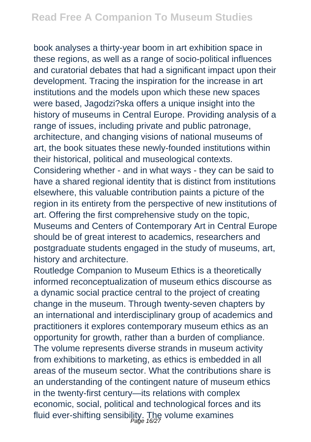book analyses a thirty-year boom in art exhibition space in these regions, as well as a range of socio-political influences and curatorial debates that had a significant impact upon their development. Tracing the inspiration for the increase in art institutions and the models upon which these new spaces were based, Jagodzi?ska offers a unique insight into the history of museums in Central Europe. Providing analysis of a range of issues, including private and public patronage, architecture, and changing visions of national museums of art, the book situates these newly-founded institutions within their historical, political and museological contexts. Considering whether - and in what ways - they can be said to have a shared regional identity that is distinct from institutions elsewhere, this valuable contribution paints a picture of the region in its entirety from the perspective of new institutions of art. Offering the first comprehensive study on the topic, Museums and Centers of Contemporary Art in Central Europe should be of great interest to academics, researchers and postgraduate students engaged in the study of museums, art,

history and architecture.

Routledge Companion to Museum Ethics is a theoretically informed reconceptualization of museum ethics discourse as a dynamic social practice central to the project of creating change in the museum. Through twenty-seven chapters by an international and interdisciplinary group of academics and practitioners it explores contemporary museum ethics as an opportunity for growth, rather than a burden of compliance. The volume represents diverse strands in museum activity from exhibitions to marketing, as ethics is embedded in all areas of the museum sector. What the contributions share is an understanding of the contingent nature of museum ethics in the twenty-first century—its relations with complex economic, social, political and technological forces and its fluid ever-shifting sensibility. The volume examines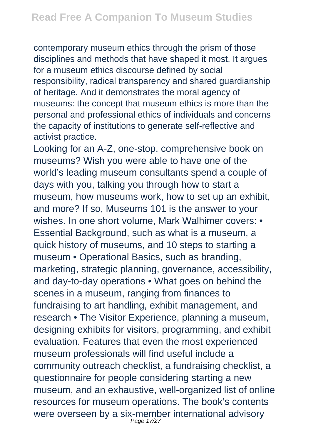contemporary museum ethics through the prism of those disciplines and methods that have shaped it most. It argues for a museum ethics discourse defined by social responsibility, radical transparency and shared guardianship of heritage. And it demonstrates the moral agency of museums: the concept that museum ethics is more than the personal and professional ethics of individuals and concerns the capacity of institutions to generate self-reflective and activist practice.

Looking for an A-Z, one-stop, comprehensive book on museums? Wish you were able to have one of the world's leading museum consultants spend a couple of days with you, talking you through how to start a museum, how museums work, how to set up an exhibit, and more? If so, Museums 101 is the answer to your wishes. In one short volume, Mark Walhimer covers: • Essential Background, such as what is a museum, a quick history of museums, and 10 steps to starting a museum • Operational Basics, such as branding, marketing, strategic planning, governance, accessibility, and day-to-day operations • What goes on behind the scenes in a museum, ranging from finances to fundraising to art handling, exhibit management, and research • The Visitor Experience, planning a museum, designing exhibits for visitors, programming, and exhibit evaluation. Features that even the most experienced museum professionals will find useful include a community outreach checklist, a fundraising checklist, a questionnaire for people considering starting a new museum, and an exhaustive, well-organized list of online resources for museum operations. The book's contents were overseen by a six-member international advisory<br>Page 17/27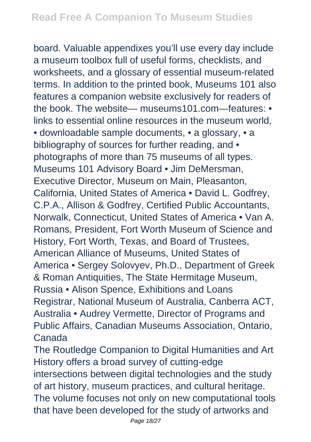board. Valuable appendixes you'll use every day include a museum toolbox full of useful forms, checklists, and worksheets, and a glossary of essential museum-related terms. In addition to the printed book, Museums 101 also features a companion website exclusively for readers of the book. The website— museums101.com—features: • links to essential online resources in the museum world, • downloadable sample documents, • a glossary, • a bibliography of sources for further reading, and • photographs of more than 75 museums of all types. Museums 101 Advisory Board • Jim DeMersman, Executive Director, Museum on Main, Pleasanton, California, United States of America • David L. Godfrey, C.P.A., Allison & Godfrey, Certified Public Accountants, Norwalk, Connecticut, United States of America • Van A. Romans, President, Fort Worth Museum of Science and History, Fort Worth, Texas, and Board of Trustees, American Alliance of Museums, United States of America • Sergey Solovyev, Ph.D., Department of Greek & Roman Antiquities, The State Hermitage Museum, Russia • Alison Spence, Exhibitions and Loans Registrar, National Museum of Australia, Canberra ACT, Australia • Audrey Vermette, Director of Programs and Public Affairs, Canadian Museums Association, Ontario, Canada The Routledge Companion to Digital Humanities and Art History offers a broad survey of cutting-edge

intersections between digital technologies and the study of art history, museum practices, and cultural heritage. The volume focuses not only on new computational tools that have been developed for the study of artworks and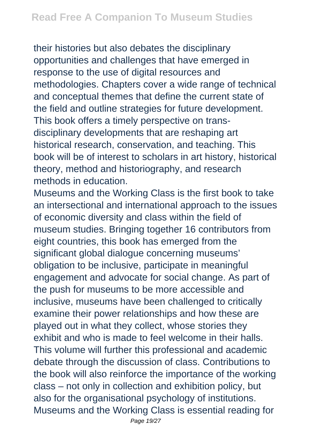their histories but also debates the disciplinary opportunities and challenges that have emerged in response to the use of digital resources and methodologies. Chapters cover a wide range of technical and conceptual themes that define the current state of the field and outline strategies for future development. This book offers a timely perspective on transdisciplinary developments that are reshaping art historical research, conservation, and teaching. This book will be of interest to scholars in art history, historical theory, method and historiography, and research methods in education.

Museums and the Working Class is the first book to take an intersectional and international approach to the issues of economic diversity and class within the field of museum studies. Bringing together 16 contributors from eight countries, this book has emerged from the significant global dialogue concerning museums' obligation to be inclusive, participate in meaningful engagement and advocate for social change. As part of the push for museums to be more accessible and inclusive, museums have been challenged to critically examine their power relationships and how these are played out in what they collect, whose stories they exhibit and who is made to feel welcome in their halls. This volume will further this professional and academic debate through the discussion of class. Contributions to the book will also reinforce the importance of the working class – not only in collection and exhibition policy, but also for the organisational psychology of institutions. Museums and the Working Class is essential reading for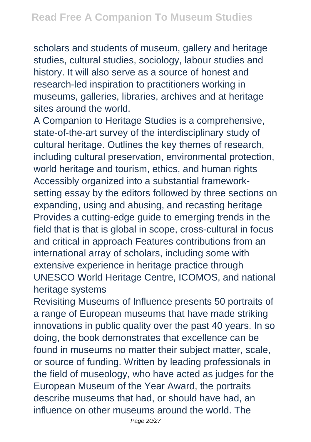scholars and students of museum, gallery and heritage studies, cultural studies, sociology, labour studies and history. It will also serve as a source of honest and research-led inspiration to practitioners working in museums, galleries, libraries, archives and at heritage sites around the world.

A Companion to Heritage Studies is a comprehensive, state-of-the-art survey of the interdisciplinary study of cultural heritage. Outlines the key themes of research, including cultural preservation, environmental protection, world heritage and tourism, ethics, and human rights Accessibly organized into a substantial frameworksetting essay by the editors followed by three sections on expanding, using and abusing, and recasting heritage Provides a cutting-edge guide to emerging trends in the field that is that is global in scope, cross-cultural in focus and critical in approach Features contributions from an international array of scholars, including some with extensive experience in heritage practice through UNESCO World Heritage Centre, ICOMOS, and national heritage systems

Revisiting Museums of Influence presents 50 portraits of a range of European museums that have made striking innovations in public quality over the past 40 years. In so doing, the book demonstrates that excellence can be found in museums no matter their subject matter, scale, or source of funding. Written by leading professionals in the field of museology, who have acted as judges for the European Museum of the Year Award, the portraits describe museums that had, or should have had, an influence on other museums around the world. The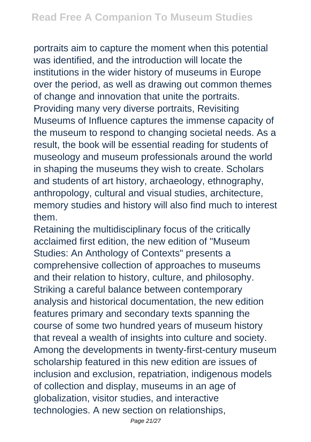portraits aim to capture the moment when this potential was identified, and the introduction will locate the institutions in the wider history of museums in Europe over the period, as well as drawing out common themes of change and innovation that unite the portraits. Providing many very diverse portraits, Revisiting Museums of Influence captures the immense capacity of the museum to respond to changing societal needs. As a result, the book will be essential reading for students of museology and museum professionals around the world in shaping the museums they wish to create. Scholars and students of art history, archaeology, ethnography, anthropology, cultural and visual studies, architecture, memory studies and history will also find much to interest them.

Retaining the multidisciplinary focus of the critically acclaimed first edition, the new edition of "Museum Studies: An Anthology of Contexts" presents a comprehensive collection of approaches to museums and their relation to history, culture, and philosophy. Striking a careful balance between contemporary analysis and historical documentation, the new edition features primary and secondary texts spanning the course of some two hundred years of museum history that reveal a wealth of insights into culture and society. Among the developments in twenty-first-century museum scholarship featured in this new edition are issues of inclusion and exclusion, repatriation, indigenous models of collection and display, museums in an age of globalization, visitor studies, and interactive technologies. A new section on relationships,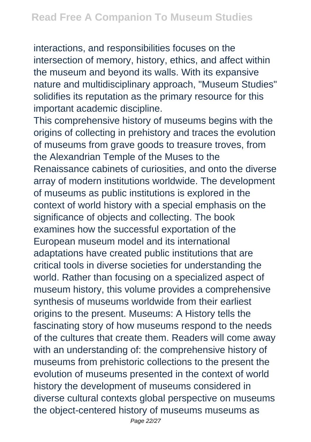interactions, and responsibilities focuses on the intersection of memory, history, ethics, and affect within the museum and beyond its walls. With its expansive nature and multidisciplinary approach, "Museum Studies" solidifies its reputation as the primary resource for this important academic discipline.

This comprehensive history of museums begins with the origins of collecting in prehistory and traces the evolution of museums from grave goods to treasure troves, from the Alexandrian Temple of the Muses to the Renaissance cabinets of curiosities, and onto the diverse array of modern institutions worldwide. The development of museums as public institutions is explored in the context of world history with a special emphasis on the significance of objects and collecting. The book examines how the successful exportation of the European museum model and its international adaptations have created public institutions that are critical tools in diverse societies for understanding the world. Rather than focusing on a specialized aspect of museum history, this volume provides a comprehensive synthesis of museums worldwide from their earliest origins to the present. Museums: A History tells the fascinating story of how museums respond to the needs of the cultures that create them. Readers will come away with an understanding of: the comprehensive history of museums from prehistoric collections to the present the evolution of museums presented in the context of world history the development of museums considered in diverse cultural contexts global perspective on museums the object-centered history of museums museums as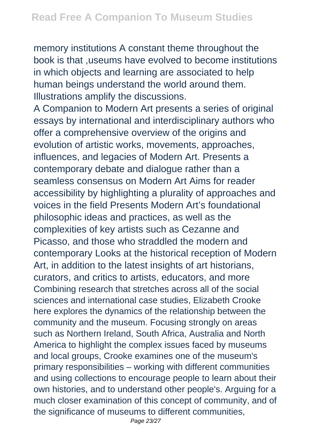memory institutions A constant theme throughout the book is that ,useums have evolved to become institutions in which objects and learning are associated to help human beings understand the world around them. Illustrations amplify the discussions.

A Companion to Modern Art presents a series of original essays by international and interdisciplinary authors who offer a comprehensive overview of the origins and evolution of artistic works, movements, approaches, influences, and legacies of Modern Art. Presents a contemporary debate and dialogue rather than a seamless consensus on Modern Art Aims for reader accessibility by highlighting a plurality of approaches and voices in the field Presents Modern Art's foundational philosophic ideas and practices, as well as the complexities of key artists such as Cezanne and Picasso, and those who straddled the modern and contemporary Looks at the historical reception of Modern Art, in addition to the latest insights of art historians, curators, and critics to artists, educators, and more Combining research that stretches across all of the social sciences and international case studies, Elizabeth Crooke here explores the dynamics of the relationship between the community and the museum. Focusing strongly on areas such as Northern Ireland, South Africa, Australia and North America to highlight the complex issues faced by museums and local groups, Crooke examines one of the museum's primary responsibilities – working with different communities and using collections to encourage people to learn about their own histories, and to understand other people's. Arguing for a much closer examination of this concept of community, and of the significance of museums to different communities,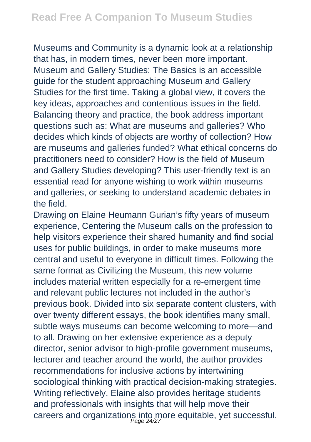Museums and Community is a dynamic look at a relationship that has, in modern times, never been more important. Museum and Gallery Studies: The Basics is an accessible guide for the student approaching Museum and Gallery Studies for the first time. Taking a global view, it covers the key ideas, approaches and contentious issues in the field. Balancing theory and practice, the book address important questions such as: What are museums and galleries? Who decides which kinds of objects are worthy of collection? How are museums and galleries funded? What ethical concerns do practitioners need to consider? How is the field of Museum and Gallery Studies developing? This user-friendly text is an essential read for anyone wishing to work within museums and galleries, or seeking to understand academic debates in the field.

Drawing on Elaine Heumann Gurian's fifty years of museum experience, Centering the Museum calls on the profession to help visitors experience their shared humanity and find social uses for public buildings, in order to make museums more central and useful to everyone in difficult times. Following the same format as Civilizing the Museum, this new volume includes material written especially for a re-emergent time and relevant public lectures not included in the author's previous book. Divided into six separate content clusters, with over twenty different essays, the book identifies many small, subtle ways museums can become welcoming to more—and to all. Drawing on her extensive experience as a deputy director, senior advisor to high-profile government museums, lecturer and teacher around the world, the author provides recommendations for inclusive actions by intertwining sociological thinking with practical decision-making strategies. Writing reflectively, Elaine also provides heritage students and professionals with insights that will help move their careers and organizations into more equitable, yet successful,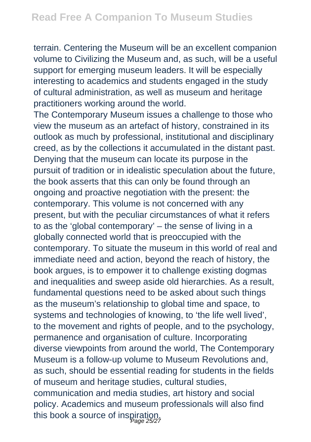terrain. Centering the Museum will be an excellent companion volume to Civilizing the Museum and, as such, will be a useful support for emerging museum leaders. It will be especially interesting to academics and students engaged in the study of cultural administration, as well as museum and heritage practitioners working around the world.

The Contemporary Museum issues a challenge to those who view the museum as an artefact of history, constrained in its outlook as much by professional, institutional and disciplinary creed, as by the collections it accumulated in the distant past. Denying that the museum can locate its purpose in the pursuit of tradition or in idealistic speculation about the future, the book asserts that this can only be found through an ongoing and proactive negotiation with the present: the contemporary. This volume is not concerned with any present, but with the peculiar circumstances of what it refers to as the 'global contemporary' – the sense of living in a globally connected world that is preoccupied with the contemporary. To situate the museum in this world of real and immediate need and action, beyond the reach of history, the book argues, is to empower it to challenge existing dogmas and inequalities and sweep aside old hierarchies. As a result, fundamental questions need to be asked about such things as the museum's relationship to global time and space, to systems and technologies of knowing, to 'the life well lived', to the movement and rights of people, and to the psychology, permanence and organisation of culture. Incorporating diverse viewpoints from around the world, The Contemporary Museum is a follow-up volume to Museum Revolutions and, as such, should be essential reading for students in the fields of museum and heritage studies, cultural studies, communication and media studies, art history and social policy. Academics and museum professionals will also find this book a source of inspiration.<br><sup>Page 25/27</sup>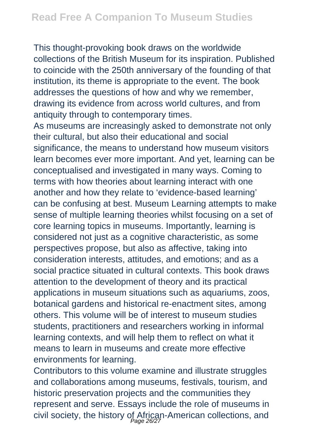This thought-provoking book draws on the worldwide collections of the British Museum for its inspiration. Published to coincide with the 250th anniversary of the founding of that institution, its theme is appropriate to the event. The book addresses the questions of how and why we remember, drawing its evidence from across world cultures, and from antiquity through to contemporary times.

As museums are increasingly asked to demonstrate not only their cultural, but also their educational and social significance, the means to understand how museum visitors learn becomes ever more important. And yet, learning can be conceptualised and investigated in many ways. Coming to terms with how theories about learning interact with one another and how they relate to 'evidence-based learning' can be confusing at best. Museum Learning attempts to make sense of multiple learning theories whilst focusing on a set of core learning topics in museums. Importantly, learning is considered not just as a cognitive characteristic, as some perspectives propose, but also as affective, taking into consideration interests, attitudes, and emotions; and as a social practice situated in cultural contexts. This book draws attention to the development of theory and its practical applications in museum situations such as aquariums, zoos, botanical gardens and historical re-enactment sites, among others. This volume will be of interest to museum studies students, practitioners and researchers working in informal learning contexts, and will help them to reflect on what it means to learn in museums and create more effective environments for learning.

Contributors to this volume examine and illustrate struggles and collaborations among museums, festivals, tourism, and historic preservation projects and the communities they represent and serve. Essays include the role of museums in civil society, the history of African-American collections, and